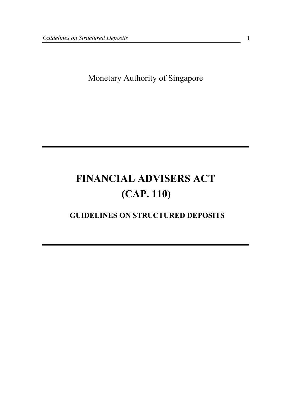Monetary Authority of Singapore

# FINANCIAL ADVISERS ACT (CAP. 110)

# GUIDELINES ON STRUCTURED DEPOSITS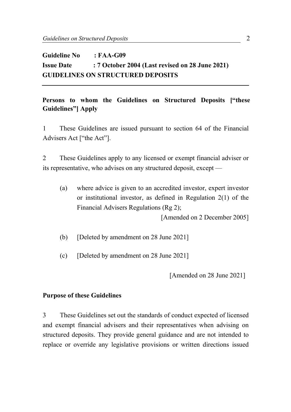# Guideline No : FAA-G09 Issue Date : 7 October 2004 (Last revised on 28 June 2021) GUIDELINES ON STRUCTURED DEPOSITS

## Persons to whom the Guidelines on Structured Deposits ["these Guidelines"] Apply

1 These Guidelines are issued pursuant to section 64 of the Financial Advisers Act ["the Act"].

2 These Guidelines apply to any licensed or exempt financial adviser or its representative, who advises on any structured deposit, except —

(a) where advice is given to an accredited investor, expert investor or institutional investor, as defined in Regulation 2(1) of the Financial Advisers Regulations (Rg 2);

[Amended on 2 December 2005]

- (b) [Deleted by amendment on 28 June 2021]
- (c) [Deleted by amendment on 28 June 2021]

[Amended on 28 June 2021]

#### Purpose of these Guidelines

3 These Guidelines set out the standards of conduct expected of licensed and exempt financial advisers and their representatives when advising on structured deposits. They provide general guidance and are not intended to replace or override any legislative provisions or written directions issued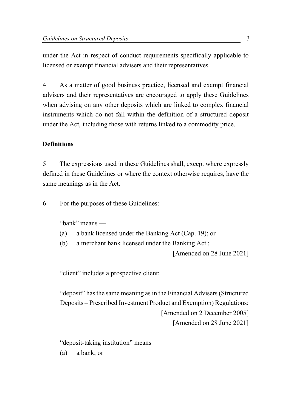under the Act in respect of conduct requirements specifically applicable to licensed or exempt financial advisers and their representatives.

4 As a matter of good business practice, licensed and exempt financial advisers and their representatives are encouraged to apply these Guidelines when advising on any other deposits which are linked to complex financial instruments which do not fall within the definition of a structured deposit under the Act, including those with returns linked to a commodity price.

#### **Definitions**

5 The expressions used in these Guidelines shall, except where expressly defined in these Guidelines or where the context otherwise requires, have the same meanings as in the Act.

6 For the purposes of these Guidelines:

"bank" means —

- (a) a bank licensed under the Banking Act (Cap. 19); or
- (b) a merchant bank licensed under the Banking Act ;

[Amended on 28 June 2021]

"client" includes a prospective client;

"deposit" has the same meaning as in the Financial Advisers (Structured Deposits – Prescribed Investment Product and Exemption) Regulations; [Amended on 2 December 2005] [Amended on 28 June 2021]

"deposit-taking institution" means —

(a) a bank; or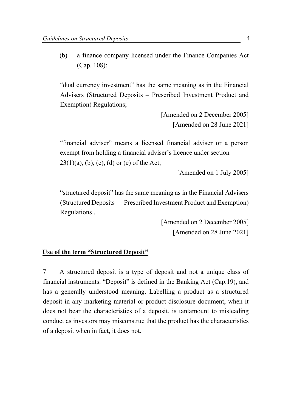(b) a finance company licensed under the Finance Companies Act (Cap. 108);

"dual currency investment" has the same meaning as in the Financial Advisers (Structured Deposits – Prescribed Investment Product and Exemption) Regulations;

> [Amended on 2 December 2005] [Amended on 28 June 2021]

"financial adviser" means a licensed financial adviser or a person exempt from holding a financial adviser's licence under section  $23(1)(a)$ , (b), (c), (d) or (e) of the Act;

[Amended on 1 July 2005]

"structured deposit" has the same meaning as in the Financial Advisers (Structured Deposits — Prescribed Investment Product and Exemption) Regulations .

> [Amended on 2 December 2005] [Amended on 28 June 2021]

# Use of the term "Structured Deposit"

7 A structured deposit is a type of deposit and not a unique class of financial instruments. "Deposit" is defined in the Banking Act (Cap.19), and has a generally understood meaning. Labelling a product as a structured deposit in any marketing material or product disclosure document, when it does not bear the characteristics of a deposit, is tantamount to misleading conduct as investors may misconstrue that the product has the characteristics of a deposit when in fact, it does not.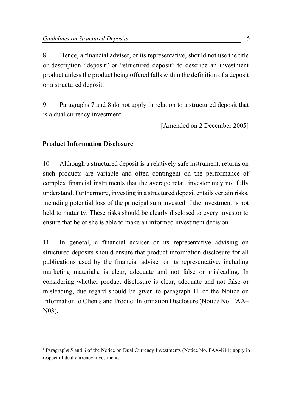8 Hence, a financial adviser, or its representative, should not use the title or description "deposit" or "structured deposit" to describe an investment product unless the product being offered falls within the definition of a deposit or a structured deposit.

9 Paragraphs 7 and 8 do not apply in relation to a structured deposit that is a dual currency investment<sup>1</sup>.

[Amended on 2 December 2005]

# Product Information Disclosure

10 Although a structured deposit is a relatively safe instrument, returns on such products are variable and often contingent on the performance of complex financial instruments that the average retail investor may not fully understand. Furthermore, investing in a structured deposit entails certain risks, including potential loss of the principal sum invested if the investment is not held to maturity. These risks should be clearly disclosed to every investor to ensure that he or she is able to make an informed investment decision.

11 In general, a financial adviser or its representative advising on structured deposits should ensure that product information disclosure for all publications used by the financial adviser or its representative, including marketing materials, is clear, adequate and not false or misleading. In considering whether product disclosure is clear, adequate and not false or misleading, due regard should be given to paragraph 11 of the Notice on Information to Clients and Product Information Disclosure (Notice No. FAA– N03).

<sup>&</sup>lt;sup>1</sup> Paragraphs 5 and 6 of the Notice on Dual Currency Investments (Notice No. FAA-N11) apply in respect of dual currency investments.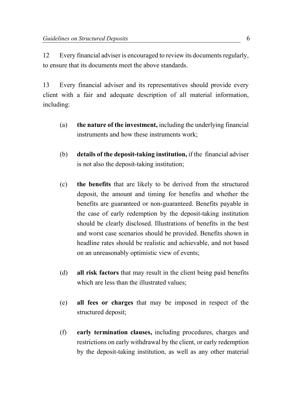12 Every financial adviser is encouraged to review its documents regularly, to ensure that its documents meet the above standards.

13 Every financial adviser and its representatives should provide every client with a fair and adequate description of all material information, including:

- (a) the nature of the investment, including the underlying financial instruments and how these instruments work;
- (b) details of the deposit-taking institution, if the financial adviser is not also the deposit-taking institution;
- (c) the benefits that are likely to be derived from the structured deposit, the amount and timing for benefits and whether the benefits are guaranteed or non-guaranteed. Benefits payable in the case of early redemption by the deposit-taking institution should be clearly disclosed. Illustrations of benefits in the best and worst case scenarios should be provided. Benefits shown in headline rates should be realistic and achievable, and not based on an unreasonably optimistic view of events;
- (d) all risk factors that may result in the client being paid benefits which are less than the illustrated values:
- (e) all fees or charges that may be imposed in respect of the structured deposit;
- (f) early termination clauses, including procedures, charges and restrictions on early withdrawal by the client, or early redemption by the deposit-taking institution, as well as any other material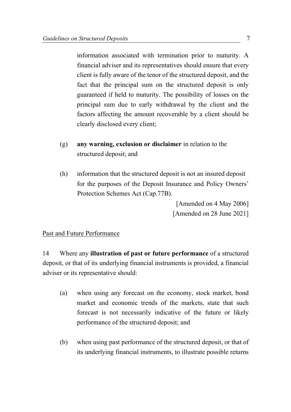information associated with termination prior to maturity. A financial adviser and its representatives should ensure that every client is fully aware of the tenor of the structured deposit, and the fact that the principal sum on the structured deposit is only guaranteed if held to maturity. The possibility of losses on the principal sum due to early withdrawal by the client and the factors affecting the amount recoverable by a client should be clearly disclosed every client;

- (g) any warning, exclusion or disclaimer in relation to the structured deposit; and
- (h) information that the structured deposit is not an insured deposit for the purposes of the Deposit Insurance and Policy Owners' Protection Schemes Act (Cap.77B).

[Amended on 4 May 2006] [Amended on 28 June 2021]

#### Past and Future Performance

14 Where any illustration of past or future performance of a structured deposit, or that of its underlying financial instruments is provided, a financial adviser or its representative should:

- (a) when using any forecast on the economy, stock market, bond market and economic trends of the markets, state that such forecast is not necessarily indicative of the future or likely performance of the structured deposit; and
- (b) when using past performance of the structured deposit, or that of its underlying financial instruments, to illustrate possible returns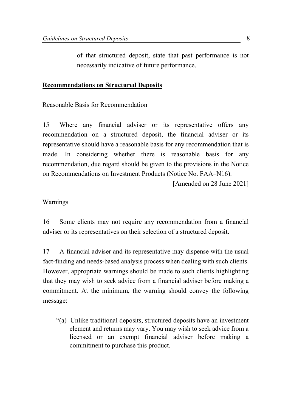of that structured deposit, state that past performance is not necessarily indicative of future performance.

#### Recommendations on Structured Deposits

#### Reasonable Basis for Recommendation

15 Where any financial adviser or its representative offers any recommendation on a structured deposit, the financial adviser or its representative should have a reasonable basis for any recommendation that is made. In considering whether there is reasonable basis for any recommendation, due regard should be given to the provisions in the Notice on Recommendations on Investment Products (Notice No. FAA–N16).

[Amended on 28 June 2021]

#### **Warnings**

16 Some clients may not require any recommendation from a financial adviser or its representatives on their selection of a structured deposit.

17 A financial adviser and its representative may dispense with the usual fact-finding and needs-based analysis process when dealing with such clients. However, appropriate warnings should be made to such clients highlighting that they may wish to seek advice from a financial adviser before making a commitment. At the minimum, the warning should convey the following message:

"(a) Unlike traditional deposits, structured deposits have an investment element and returns may vary. You may wish to seek advice from a licensed or an exempt financial adviser before making a commitment to purchase this product.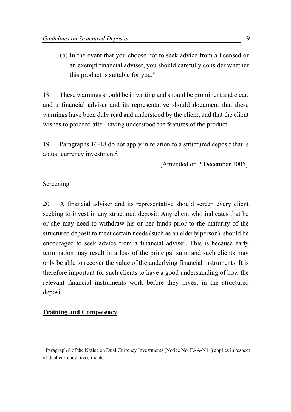(b) In the event that you choose not to seek advice from a licensed or an exempt financial adviser, you should carefully consider whether this product is suitable for you."

18 These warnings should be in writing and should be prominent and clear, and a financial adviser and its representative should document that these warnings have been duly read and understood by the client, and that the client wishes to proceed after having understood the features of the product.

19 Paragraphs 16-18 do not apply in relation to a structured deposit that is a dual currency investment<sup>2</sup>.

[Amended on 2 December 2005]

#### Screening

20 A financial adviser and its representative should screen every client seeking to invest in any structured deposit. Any client who indicates that he or she may need to withdraw his or her funds prior to the maturity of the structured deposit to meet certain needs (such as an elderly person), should be encouraged to seek advice from a financial adviser. This is because early termination may result in a loss of the principal sum, and such clients may only be able to recover the value of the underlying financial instruments. It is therefore important for such clients to have a good understanding of how the relevant financial instruments work before they invest in the structured deposit.

## Training and Competency

<sup>&</sup>lt;sup>2</sup> Paragraph 8 of the Notice on Dual Currency Investments (Notice No. FAA-N11) applies in respect of dual currency investments.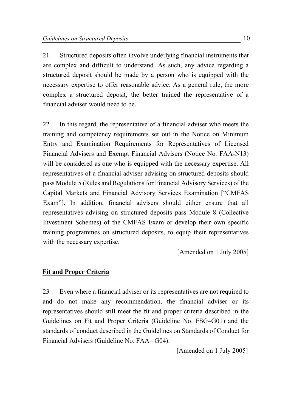21 Structured deposits often involve underlying financial instruments that are complex and difficult to understand. As such, any advice regarding a structured deposit should be made by a person who is equipped with the necessary expertise to offer reasonable advice. As a general rule, the more complex a structured deposit, the better trained the representative of a financial adviser would need to be.

22 In this regard, the representative of a financial adviser who meets the training and competency requirements set out in the Notice on Minimum Entry and Examination Requirements for Representatives of Licensed Financial Advisers and Exempt Financial Advisers (Notice No. FAA-N13) will be considered as one who is equipped with the necessary expertise. All representatives of a financial adviser advising on structured deposits should pass Module 5 (Rules and Regulations for Financial Advisory Services) of the Capital Markets and Financial Advisory Services Examination ["CMFAS Exam"]. In addition, financial advisers should either ensure that all representatives advising on structured deposits pass Module 8 (Collective Investment Schemes) of the CMFAS Exam or develop their own specific training programmes on structured deposits, to equip their representatives with the necessary expertise.

[Amended on 1 July 2005]

## Fit and Proper Criteria

23 Even where a financial adviser or its representatives are not required to and do not make any recommendation, the financial adviser or its representatives should still meet the fit and proper criteria described in the Guidelines on Fit and Proper Criteria (Guideline No. FSG–G01) and the standards of conduct described in the Guidelines on Standards of Conduct for Financial Advisers (Guideline No. FAA– G04).

[Amended on 1 July 2005]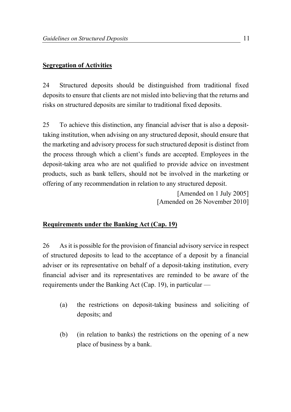#### Segregation of Activities

24 Structured deposits should be distinguished from traditional fixed deposits to ensure that clients are not misled into believing that the returns and risks on structured deposits are similar to traditional fixed deposits.

25 To achieve this distinction, any financial adviser that is also a deposittaking institution, when advising on any structured deposit, should ensure that the marketing and advisory process for such structured deposit is distinct from the process through which a client's funds are accepted. Employees in the deposit-taking area who are not qualified to provide advice on investment products, such as bank tellers, should not be involved in the marketing or offering of any recommendation in relation to any structured deposit.

> [Amended on 1 July 2005] [Amended on 26 November 2010]

#### Requirements under the Banking Act (Cap. 19)

26 As it is possible for the provision of financial advisory service in respect of structured deposits to lead to the acceptance of a deposit by a financial adviser or its representative on behalf of a deposit-taking institution, every financial adviser and its representatives are reminded to be aware of the requirements under the Banking Act (Cap. 19), in particular —

- (a) the restrictions on deposit-taking business and soliciting of deposits; and
- (b) (in relation to banks) the restrictions on the opening of a new place of business by a bank.